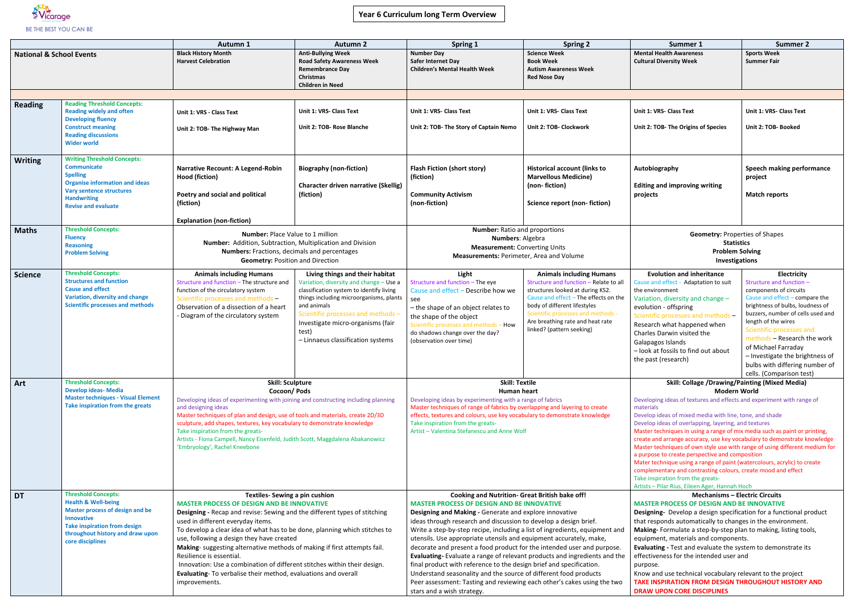## **Year 6 Curriculum long Term Overview**



|                                     |                                                                                                                                                                                                                            | <b>Autumn 1</b>                                                                                                                                                                                                                                                                                                                                                                                                                                                                                                                                                                                               | <b>Autumn 2</b>                                                                                                                                                                                                                                                                                         | <b>Spring 1</b>                                                                                                                                                                                                                                                                                                                                                                                                                                                                                                                                                                                                                                                                                                                                                                                         | <b>Spring 2</b>                                                                                                                                                                                                                                                                               | Summer 1                                                                                                                                                                                                                                                                                                                                                                                                                                                                                                                                                                                                                                                                                                                                                                      | <b>Summer 2</b>                                                                                                                                                                                                                                                                                                                      |  |
|-------------------------------------|----------------------------------------------------------------------------------------------------------------------------------------------------------------------------------------------------------------------------|---------------------------------------------------------------------------------------------------------------------------------------------------------------------------------------------------------------------------------------------------------------------------------------------------------------------------------------------------------------------------------------------------------------------------------------------------------------------------------------------------------------------------------------------------------------------------------------------------------------|---------------------------------------------------------------------------------------------------------------------------------------------------------------------------------------------------------------------------------------------------------------------------------------------------------|---------------------------------------------------------------------------------------------------------------------------------------------------------------------------------------------------------------------------------------------------------------------------------------------------------------------------------------------------------------------------------------------------------------------------------------------------------------------------------------------------------------------------------------------------------------------------------------------------------------------------------------------------------------------------------------------------------------------------------------------------------------------------------------------------------|-----------------------------------------------------------------------------------------------------------------------------------------------------------------------------------------------------------------------------------------------------------------------------------------------|-------------------------------------------------------------------------------------------------------------------------------------------------------------------------------------------------------------------------------------------------------------------------------------------------------------------------------------------------------------------------------------------------------------------------------------------------------------------------------------------------------------------------------------------------------------------------------------------------------------------------------------------------------------------------------------------------------------------------------------------------------------------------------|--------------------------------------------------------------------------------------------------------------------------------------------------------------------------------------------------------------------------------------------------------------------------------------------------------------------------------------|--|
| <b>National &amp; School Events</b> |                                                                                                                                                                                                                            | <b>Black History Month</b><br><b>Harvest Celebration</b>                                                                                                                                                                                                                                                                                                                                                                                                                                                                                                                                                      | <b>Anti-Bullying Week</b><br><b>Road Safety Awareness Week</b><br><b>Remembrance Day</b><br><b>Christmas</b><br><b>Children in Need</b>                                                                                                                                                                 | <b>Number Day</b><br>Safer Internet Day<br><b>Children's Mental Health Week</b>                                                                                                                                                                                                                                                                                                                                                                                                                                                                                                                                                                                                                                                                                                                         | <b>Science Week</b><br><b>Book Week</b><br><b>Autism Awareness Week</b><br><b>Red Nose Day</b>                                                                                                                                                                                                | <b>Mental Health Awareness</b><br><b>Cultural Diversity Week</b>                                                                                                                                                                                                                                                                                                                                                                                                                                                                                                                                                                                                                                                                                                              | <b>Sports Week</b><br><b>Summer Fair</b>                                                                                                                                                                                                                                                                                             |  |
|                                     |                                                                                                                                                                                                                            |                                                                                                                                                                                                                                                                                                                                                                                                                                                                                                                                                                                                               |                                                                                                                                                                                                                                                                                                         |                                                                                                                                                                                                                                                                                                                                                                                                                                                                                                                                                                                                                                                                                                                                                                                                         |                                                                                                                                                                                                                                                                                               |                                                                                                                                                                                                                                                                                                                                                                                                                                                                                                                                                                                                                                                                                                                                                                               |                                                                                                                                                                                                                                                                                                                                      |  |
| <b>Reading</b>                      | <b>Reading Threshold Concepts:</b><br><b>Reading widely and often</b><br><b>Developing fluency</b><br><b>Construct meaning</b><br><b>Reading discussions</b><br><b>Wider world</b>                                         | Unit 1: VRS - Class Text<br>Unit 2: TOB- The Highway Man                                                                                                                                                                                                                                                                                                                                                                                                                                                                                                                                                      | <b>Unit 1: VRS- Class Text</b><br>Unit 2: TOB- Rose Blanche                                                                                                                                                                                                                                             | <b>Unit 1: VRS- Class Text</b><br>Unit 2: TOB- The Story of Captain Nemo                                                                                                                                                                                                                                                                                                                                                                                                                                                                                                                                                                                                                                                                                                                                | Unit 1: VRS- Class Text<br>Unit 2: TOB- Clockwork                                                                                                                                                                                                                                             | Unit 1: VRS- Class Text<br>Unit 2: TOB- The Origins of Species                                                                                                                                                                                                                                                                                                                                                                                                                                                                                                                                                                                                                                                                                                                | Unit 1: VRS- Class Text<br>Unit 2: TOB- Booked                                                                                                                                                                                                                                                                                       |  |
| Writing                             | <b>Writing Threshold Concepts:</b><br><b>Communicate</b><br><b>Spelling</b><br><b>Organise information and ideas</b><br><b>Vary sentence structures</b><br><b>Handwriting</b><br><b>Revise and evaluate</b>                | <b>Narrative Recount: A Legend-Robin</b><br>Hood (fiction)<br>Poetry and social and political<br>(fiction)<br><b>Explanation (non-fiction)</b>                                                                                                                                                                                                                                                                                                                                                                                                                                                                | <b>Biography (non-fiction)</b><br><b>Character driven narrative (Skellig)</b><br>(fiction)                                                                                                                                                                                                              | <b>Flash Fiction (short story)</b><br>(fiction)<br><b>Community Activism</b><br>(non-fiction)                                                                                                                                                                                                                                                                                                                                                                                                                                                                                                                                                                                                                                                                                                           | <b>Historical account (links to</b><br><b>Marvellous Medicine)</b><br>(non-fiction)<br>Science report (non-fiction)                                                                                                                                                                           | Autobiography<br><b>Editing and improving writing</b><br>projects                                                                                                                                                                                                                                                                                                                                                                                                                                                                                                                                                                                                                                                                                                             | Speech making perfo<br>project<br><b>Match reports</b>                                                                                                                                                                                                                                                                               |  |
| <b>Maths</b>                        | <b>Threshold Concepts:</b><br><b>Fluency</b><br><b>Reasoning</b><br><b>Problem Solving</b>                                                                                                                                 | <b>Number: Place Value to 1 million</b><br>Number: Addition, Subtraction, Multiplication and Division<br>Numbers: Fractions, decimals and percentages<br><b>Geometry: Position and Direction</b>                                                                                                                                                                                                                                                                                                                                                                                                              |                                                                                                                                                                                                                                                                                                         | <b>Number:</b> Ratio and proportions<br>Numbers: Algebra<br><b>Measurement: Converting Units</b><br>Measurements: Perimeter, Area and Volume                                                                                                                                                                                                                                                                                                                                                                                                                                                                                                                                                                                                                                                            |                                                                                                                                                                                                                                                                                               | <b>Geometry: Properties of Shapes</b><br><b>Statistics</b><br><b>Problem Solving</b><br>Investigations                                                                                                                                                                                                                                                                                                                                                                                                                                                                                                                                                                                                                                                                        |                                                                                                                                                                                                                                                                                                                                      |  |
| <b>Science</b>                      | <b>Threshold Concepts:</b><br><b>Structures and function</b><br><b>Cause and effect</b><br>Variation, diversity and change<br><b>Scientific processes and methods</b>                                                      | <b>Animals including Humans</b><br>Structure and function - The structure and<br>function of the circulatory system<br>Scientific processes and methods -<br>Observation of a dissection of a heart<br>- Diagram of the circulatory system                                                                                                                                                                                                                                                                                                                                                                    | Living things and their habitat<br>Variation, diversity and change - Use a<br>classification system to identify living<br>things including microorganisms, plants<br>and animals<br>Scientific processes and methods<br>Investigate micro-organisms (fair<br>test)<br>- Linnaeus classification systems | Light<br>Structure and function - The eye<br>Cause and effect - Describe how we<br>see<br>- the shape of an object relates to<br>the shape of the object<br>Scientific processes and methods - How<br>do shadows change over the day?<br>(observation over time)                                                                                                                                                                                                                                                                                                                                                                                                                                                                                                                                        | <b>Animals including Humans</b><br>Structure and function - Relate to all<br>structures looked at during KS2.<br>Cause and effect - The effects on the<br>body of different lifestyles<br>Scientific processes and methods -<br>Are breathing rate and heat rate<br>linked? (pattern seeking) | <b>Evolution and inheritance</b><br>Cause and effect - Adaptation to suit<br>the environment<br>Variation, diversity and change -<br>evolution - offspring<br>Scientific processes and methods -<br>Research what happened when<br>Charles Darwin visited the<br>Galapagos Islands<br>- look at fossils to find out about<br>the past (research)                                                                                                                                                                                                                                                                                                                                                                                                                              | Electricity<br>Structure and function -<br>components of circuits<br>Cause and effect - comp<br>brightness of bulbs, loud<br>buzzers, number of cells<br>length of the wires<br>Scientific processes a<br>methods - Research t<br>of Michael Farraday<br>- Investigate the brigl<br>bulbs with differing n<br>cells. (Comparison tes |  |
|                                     |                                                                                                                                                                                                                            |                                                                                                                                                                                                                                                                                                                                                                                                                                                                                                                                                                                                               |                                                                                                                                                                                                                                                                                                         |                                                                                                                                                                                                                                                                                                                                                                                                                                                                                                                                                                                                                                                                                                                                                                                                         |                                                                                                                                                                                                                                                                                               |                                                                                                                                                                                                                                                                                                                                                                                                                                                                                                                                                                                                                                                                                                                                                                               |                                                                                                                                                                                                                                                                                                                                      |  |
| Art                                 | <b>Threshold Concepts:</b><br><b>Develop ideas- Media</b><br><b>Master techniques - Visual Element</b><br>Take inspiration from the greats                                                                                 | <b>Skill: Sculpture</b><br>Cocoon/Pods<br>Developing ideas of experimenting with joining and constructing including planning<br>and designing ideas<br>Master techniques of plan and design, use of tools and materials, create 2D/3D<br>sculpture, add shapes, textures, key vocabulary to demonstrate knowledge<br>Take inspiration from the greats-<br>Artists - Fiona Campell, Nancy Eisenfeld, Judith Scott, Maggdalena Abakanowicz<br>'Embryology', Rachel Kneebone                                                                                                                                     |                                                                                                                                                                                                                                                                                                         | <b>Skill: Textile</b><br><b>Human heart</b><br>Developing ideas by experimenting with a range of fabrics<br>Master techniques of range of fabrics by overlapping and layering to create<br>effects, textures and colours, use key vocabulary to demonstrate knowledge<br>Take inspiration from the greats-<br>Artist - Valentina Stefanescu and Anne Wolf                                                                                                                                                                                                                                                                                                                                                                                                                                               |                                                                                                                                                                                                                                                                                               | <b>Skill: Collage /Drawing/Painting (Mixed Media)</b><br>Modern World<br>Developing ideas of textures and effects and experiment with rang<br>materials<br>Develop ideas of mixed media with line, tone, and shade<br>Develop ideas of overlapping, layering, and textures<br>Master techniques in using a range of mix media such as paint or p<br>create and arrange accuracy, use key vocabulary to demonstrate k<br>Master techniques of own style use with range of using different m<br>a purpose to create perspective and composition<br>Mater technique using a range of paint (watercolours, acrylic) to cr<br>complementary and contrasting colours, create mood and effect<br>Take inspiration from the greats-<br>Artists - Pilar Rius, Eileen Ager, Hannah Hoch |                                                                                                                                                                                                                                                                                                                                      |  |
| <b>DT</b>                           | <b>Threshold Concepts:</b><br><b>Health &amp; Well-being</b><br><b>Master process of design and be</b><br><b>Innovative</b><br><b>Take inspiration from design</b><br>throughout history and draw upon<br>core disciplines | <b>Textiles-Sewing a pin cushion</b><br><b>MASTER PROCESS OF DESIGN AND BE INNOVATIVE</b><br>Designing - Recap and revise: Sewing and the different types of stitching<br>used in different everyday items.<br>To develop a clear idea of what has to be done, planning which stitches to<br>use, following a design they have created<br>Making- suggesting alternative methods of making if first attempts fail.<br>Resilience is essential.<br>Innovation: Use a combination of different stitches within their design.<br>Evaluating- To verbalise their method, evaluations and overall<br>improvements. |                                                                                                                                                                                                                                                                                                         | <b>Cooking and Nutrition- Great British bake off!</b><br><b>MASTER PROCESS OF DESIGN AND BE INNOVATIVE</b><br>Designing and Making - Generate and explore innovative<br>ideas through research and discussion to develop a design brief.<br>Write a step-by-step recipe, including a list of ingredients, equipment and<br>utensils. Use appropriate utensils and equipment accurately, make,<br>decorate and present a food product for the intended user and purpose.<br>Evaluating-Evaluate a range of relevant products and ingredients and the<br>final product with reference to the design brief and specification.<br>Understand seasonality and the source of different food products<br>Peer assessment: Tasting and reviewing each other's cakes using the two<br>stars and a wish strategy. |                                                                                                                                                                                                                                                                                               | <b>Mechanisms - Electric Circuits</b><br><b>MASTER PROCESS OF DESIGN AND BE INNOVATIVE</b><br><b>Designing-</b> Develop a design specification for a functional p<br>that responds automatically to changes in the environment.<br>Making-Formulate a step-by-step plan to making, listing too<br>equipment, materials and components.<br>Evaluating - Test and evaluate the system to demonstrate it<br>effectiveness for the intended user and<br>purpose.<br>Know and use technical vocabulary relevant to the project<br><b>TAKE INSPIRATION FROM DESIGN THROUGHOUT HISTORY</b><br><b>DRAW UPON CORE DISCIPLINES</b>                                                                                                                                                      |                                                                                                                                                                                                                                                                                                                                      |  |

| Summer 1                                                                                                                                               | <b>Summer 2</b>                                        |  |  |  |  |  |
|--------------------------------------------------------------------------------------------------------------------------------------------------------|--------------------------------------------------------|--|--|--|--|--|
| <b>Mental Health Awareness</b>                                                                                                                         | <b>Sports Week</b>                                     |  |  |  |  |  |
| <b>Cultural Diversity Week</b>                                                                                                                         | <b>Summer Fair</b>                                     |  |  |  |  |  |
|                                                                                                                                                        |                                                        |  |  |  |  |  |
|                                                                                                                                                        |                                                        |  |  |  |  |  |
|                                                                                                                                                        |                                                        |  |  |  |  |  |
|                                                                                                                                                        |                                                        |  |  |  |  |  |
| Unit 1: VRS- Class Text                                                                                                                                | Unit 1: VRS- Class Text                                |  |  |  |  |  |
| Unit 2: TOB- The Origins of Species                                                                                                                    | Unit 2: TOB- Booked                                    |  |  |  |  |  |
|                                                                                                                                                        |                                                        |  |  |  |  |  |
|                                                                                                                                                        |                                                        |  |  |  |  |  |
|                                                                                                                                                        |                                                        |  |  |  |  |  |
| Autobiography                                                                                                                                          | Speech making performance                              |  |  |  |  |  |
|                                                                                                                                                        | project                                                |  |  |  |  |  |
| <b>Editing and improving writing</b>                                                                                                                   |                                                        |  |  |  |  |  |
| projects                                                                                                                                               | <b>Match reports</b>                                   |  |  |  |  |  |
|                                                                                                                                                        |                                                        |  |  |  |  |  |
|                                                                                                                                                        |                                                        |  |  |  |  |  |
|                                                                                                                                                        |                                                        |  |  |  |  |  |
| <b>Geometry: Properties of Shapes</b>                                                                                                                  |                                                        |  |  |  |  |  |
| <b>Statistics</b>                                                                                                                                      |                                                        |  |  |  |  |  |
| <b>Problem Solving</b>                                                                                                                                 |                                                        |  |  |  |  |  |
| <b>Investigations</b>                                                                                                                                  |                                                        |  |  |  |  |  |
| <b>Evolution and inheritance</b>                                                                                                                       | Electricity                                            |  |  |  |  |  |
| Cause and effect - Adaptation to suit                                                                                                                  | Structure and function -                               |  |  |  |  |  |
| the environment                                                                                                                                        | components of circuits                                 |  |  |  |  |  |
| Variation, diversity and change -                                                                                                                      | Cause and effect - compare the                         |  |  |  |  |  |
| evolution - offspring                                                                                                                                  | brightness of bulbs, loudness of                       |  |  |  |  |  |
| Scientific processes and methods -                                                                                                                     | buzzers, number of cells used and                      |  |  |  |  |  |
| Research what happened when                                                                                                                            | length of the wires                                    |  |  |  |  |  |
| <b>Charles Darwin visited the</b>                                                                                                                      | Scientific processes and                               |  |  |  |  |  |
| Galapagos Islands                                                                                                                                      | methods - Research the work                            |  |  |  |  |  |
| - look at fossils to find out about                                                                                                                    | of Michael Farraday<br>- Investigate the brightness of |  |  |  |  |  |
| the past (research)                                                                                                                                    | bulbs with differing number of                         |  |  |  |  |  |
|                                                                                                                                                        | cells. (Comparison test)                               |  |  |  |  |  |
| Skill: Collage /Drawing/Painting (Mixed Media)                                                                                                         |                                                        |  |  |  |  |  |
| <b>Modern World</b>                                                                                                                                    |                                                        |  |  |  |  |  |
| Developing ideas of textures and effects and experiment with range of                                                                                  |                                                        |  |  |  |  |  |
| materials                                                                                                                                              |                                                        |  |  |  |  |  |
| Develop ideas of mixed media with line, tone, and shade                                                                                                |                                                        |  |  |  |  |  |
| Develop ideas of overlapping, layering, and textures                                                                                                   |                                                        |  |  |  |  |  |
| Master techniques in using a range of mix media such as paint or printing,<br>create and arrange accuracy, use key vocabulary to demonstrate knowledge |                                                        |  |  |  |  |  |
| Master techniques of own style use with range of using different medium for                                                                            |                                                        |  |  |  |  |  |
| a purpose to create perspective and composition                                                                                                        |                                                        |  |  |  |  |  |
| Mater technique using a range of paint (watercolours, acrylic) to create                                                                               |                                                        |  |  |  |  |  |
| complementary and contrasting colours, create mood and effect                                                                                          |                                                        |  |  |  |  |  |
| Take inspiration from the greats-<br>Artists - Pilar Rius, Eileen Ager, Hannah Hoch                                                                    |                                                        |  |  |  |  |  |
| <b>Mechanisms - Electric Circuits</b>                                                                                                                  |                                                        |  |  |  |  |  |
| <b>MASTER PROCESS OF DESIGN AND BE INNOVATIVE</b>                                                                                                      |                                                        |  |  |  |  |  |
| Designing- Develop a design specification for a functional product                                                                                     |                                                        |  |  |  |  |  |
| that responds automatically to changes in the environment.                                                                                             |                                                        |  |  |  |  |  |
| Making- Formulate a step-by-step plan to making, listing tools,                                                                                        |                                                        |  |  |  |  |  |
| equipment, materials and components.                                                                                                                   |                                                        |  |  |  |  |  |
| Evaluating - Test and evaluate the system to demonstrate its                                                                                           |                                                        |  |  |  |  |  |
| effectiveness for the intended user and                                                                                                                |                                                        |  |  |  |  |  |
| purpose.                                                                                                                                               |                                                        |  |  |  |  |  |
| Know and use technical vocabulary relevant to the project                                                                                              |                                                        |  |  |  |  |  |
| TAKE INSPIRATION FROM DESIGN THROUGHOUT HISTORY AND                                                                                                    |                                                        |  |  |  |  |  |
| <b>DRAW UPON CORE DISCIPLINES</b>                                                                                                                      |                                                        |  |  |  |  |  |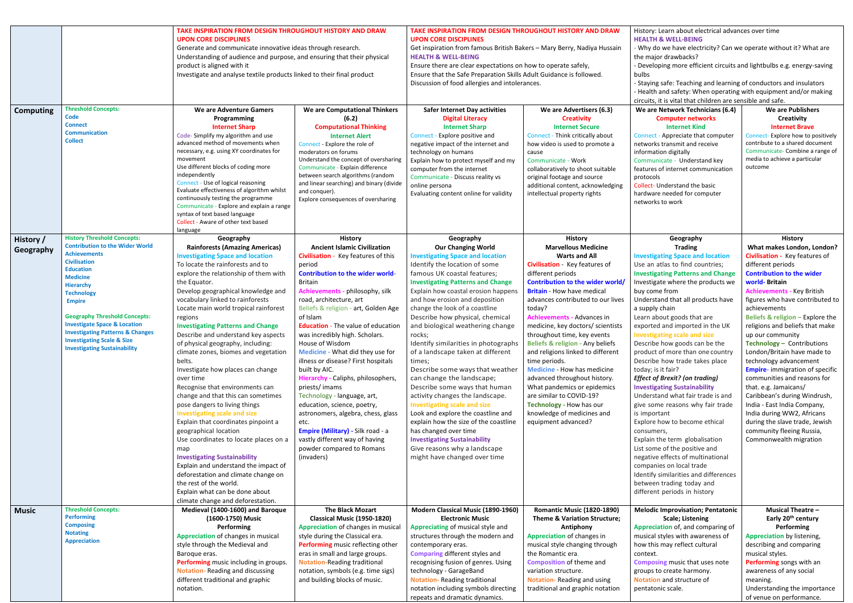|                  |                                             | TAKE INSPIRATION FROM DESIGN THROUGHOUT HISTORY AND DRAW                |                                           | TAKE INSPIRATION FROM DESIGN THROUGHOUT HISTORY AND DRAW                |                                         |                 |  |
|------------------|---------------------------------------------|-------------------------------------------------------------------------|-------------------------------------------|-------------------------------------------------------------------------|-----------------------------------------|-----------------|--|
|                  |                                             |                                                                         |                                           |                                                                         |                                         |                 |  |
|                  |                                             | <b>UPON CORE DISCIPLINES</b>                                            |                                           | <b>UPON CORE DISCIPLINES</b>                                            |                                         |                 |  |
|                  |                                             | Generate and communicate innovative ideas through research.             |                                           | Get inspiration from famous British Bakers - Mary Berry, Nadiya Hussain |                                         |                 |  |
|                  |                                             | Understanding of audience and purpose, and ensuring that their physical |                                           | <b>HEALTH &amp; WELL-BEING</b>                                          |                                         |                 |  |
|                  |                                             | product is aligned with it                                              |                                           | Ensure there are clear expectations on how to operate safely,           |                                         |                 |  |
|                  |                                             | Investigate and analyse textile products linked to their final product  |                                           | Ensure that the Safe Preparation Skills Adult Guidance is followed.     |                                         | bu              |  |
|                  |                                             |                                                                         |                                           | Discussion of food allergies and intolerances.                          |                                         | - S             |  |
|                  |                                             |                                                                         |                                           |                                                                         |                                         | - H             |  |
|                  |                                             |                                                                         |                                           |                                                                         |                                         | cir             |  |
| <b>Computing</b> | <b>Threshold Concepts:</b>                  | We are Adventure Gamers                                                 | We are Computational Thinkers             | <b>Safer Internet Day activities</b>                                    | We are Advertisers (6.3)                | W               |  |
|                  | Code                                        | Programming                                                             | (6.2)                                     | <b>Digital Literacy</b>                                                 | <b>Creativity</b>                       |                 |  |
|                  | <b>Connect</b>                              |                                                                         |                                           |                                                                         |                                         |                 |  |
|                  | <b>Communication</b>                        | <b>Internet Sharp</b>                                                   | <b>Computational Thinking</b>             | <b>Internet Sharp</b>                                                   | <b>Internet Secure</b>                  |                 |  |
|                  | <b>Collect</b>                              | Code-Simplify my algorithm and use                                      | <b>Internet Alert</b>                     | Connect - Explore positive and                                          | Connect - Think critically about        | Co              |  |
|                  |                                             | advanced method of movements when                                       | Connect - Explore the role of             | negative impact of the internet and                                     | how video is used to promote a          | ne              |  |
|                  |                                             | necessary, e.g. using XY coordinates for                                | moderators on forums                      | technology on humans                                                    | cause                                   | inf             |  |
|                  |                                             | movement                                                                | Understand the concept of oversharing     | Explain how to protect myself and my                                    | Communicate - Work                      | Co              |  |
|                  |                                             | Use different blocks of coding more                                     | Communicate - Explain difference          | computer from the internet                                              | collaboratively to shoot suitable       | fea             |  |
|                  |                                             | independently                                                           | between search algorithms (random         | Communicate - Discuss reality vs                                        | original footage and source             | pro             |  |
|                  |                                             | Connect - Use of logical reasoning                                      | and linear searching) and binary (divide  | online persona                                                          | additional content, acknowledging       | Co              |  |
|                  |                                             | Evaluate effectiveness of algorithm whilst                              | and conquer).                             | Evaluating content online for validity                                  | intellectual property rights            | ha              |  |
|                  |                                             | continuously testing the programme                                      | Explore consequences of oversharing       |                                                                         |                                         | net             |  |
|                  |                                             | Communicate - Explore and explain a range                               |                                           |                                                                         |                                         |                 |  |
|                  |                                             | syntax of text based language                                           |                                           |                                                                         |                                         |                 |  |
|                  |                                             | Collect - Aware of other text based                                     |                                           |                                                                         |                                         |                 |  |
|                  |                                             | language                                                                |                                           |                                                                         |                                         |                 |  |
| History /        | <b>History Threshold Concepts:</b>          | Geography                                                               | <b>History</b>                            | Geography                                                               | <b>History</b>                          |                 |  |
| Geography        | <b>Contribution to the Wider World</b>      | <b>Rainforests (Amazing Americas)</b>                                   | <b>Ancient Islamic Civilization</b>       | <b>Our Changing World</b>                                               | <b>Marvellous Medicine</b>              |                 |  |
|                  | <b>Achievements</b>                         | <b>Investigating Space and location</b>                                 | Civilisation - Key features of this       | <b>Investigating Space and location</b>                                 | <b>Warts and All</b>                    | <b>Inv</b>      |  |
|                  | <b>Civilisation</b>                         | To locate the rainforests and to                                        | period                                    | Identify the location of some                                           | Civilisation - Key features of          | Us              |  |
|                  | <b>Education</b>                            | explore the relationship of them with                                   | <b>Contribution to the wider world-</b>   | famous UK coastal features;                                             | different periods                       | <b>Inv</b>      |  |
|                  | <b>Medicine</b>                             | the Equator.                                                            | <b>Britain</b>                            | <b>Investigating Patterns and Change</b>                                | Contribution to the wider world/        | <b>Inv</b>      |  |
|                  | <b>Hierarchy</b>                            |                                                                         |                                           |                                                                         |                                         |                 |  |
|                  | <b>Technology</b>                           | Develop geographical knowledge and                                      | Achievements - philosophy, silk           | Explain how coastal erosion happens                                     | <b>Britain</b> - How have medical       | bu              |  |
|                  | <b>Empire</b>                               | vocabulary linked to rainforests                                        | road, architecture, art                   | and how erosion and deposition                                          | advances contributed to our lives       | Un              |  |
|                  |                                             | Locate main world tropical rainforest                                   | Beliefs & religion - art, Golden Age      | change the look of a coastline                                          | today?                                  | a s             |  |
|                  | <b>Geography Threshold Concepts:</b>        | regions                                                                 | of Islam                                  | Describe how physical, chemical                                         | <b>Achievements - Advances in</b>       | Lea             |  |
|                  | <b>Investigate Space &amp; Location</b>     | <b>Investigating Patterns and Change</b>                                | <b>Education</b> - The value of education | and biological weathering change                                        | medicine, key doctors/ scientists       | ex <sub>l</sub> |  |
|                  | <b>Investigating Patterns &amp; Changes</b> | Describe and understand key aspects                                     | was incredibly high. Scholars.            | rocks;                                                                  | throughout time, key events             | <b>Inv</b>      |  |
|                  | <b>Investigating Scale &amp; Size</b>       | of physical geography, including:                                       | House of Wisdom                           | Identify similarities in photographs                                    | Beliefs & religion - Any beliefs        | De              |  |
|                  | <b>Investigating Sustainability</b>         |                                                                         | Medicine - What did they use for          |                                                                         |                                         |                 |  |
|                  |                                             | climate zones, biomes and vegetation                                    |                                           | of a landscape taken at different                                       | and religions linked to different       | pro             |  |
|                  |                                             | belts.                                                                  | illness or disease? First hospitals       | times;                                                                  | time periods.                           | De              |  |
|                  |                                             | Investigate how places can change                                       | built by AIC.                             | Describe some ways that weather                                         | <b>Medicine - How has medicine</b>      | too             |  |
|                  |                                             | over time                                                               | Hierarchy - Caliphs, philosophers,        | can change the landscape;                                               | advanced throughout history.            | Eff             |  |
|                  |                                             | Recognise that environments can                                         | priests/imams                             | Describe some ways that human                                           | What pandemics or epidemics             | <b>Inv</b>      |  |
|                  |                                             | change and that this can sometimes                                      | Technology - language, art,               | activity changes the landscape.                                         | are similar to COVID-19?                | Un              |  |
|                  |                                             | pose dangers to living things                                           | education, science, poetry,               | <b>Investigating scale and size</b>                                     | Technology - How has our                | giv             |  |
|                  |                                             | <b>Investigating scale and size</b>                                     | astronomers, algebra, chess, glass        | Look and explore the coastline and                                      | knowledge of medicines and              | is i            |  |
|                  |                                             | Explain that coordinates pinpoint a                                     | etc.                                      | explain how the size of the coastline                                   | equipment advanced?                     |                 |  |
|                  |                                             |                                                                         |                                           |                                                                         |                                         | Ex              |  |
|                  |                                             | geographical location                                                   | Empire (Military) - Silk road - a         | has changed over time                                                   |                                         | <b>COI</b>      |  |
|                  |                                             | Use coordinates to locate places on a                                   | vastly different way of having            | <b>Investigating Sustainability</b>                                     |                                         | Ex              |  |
|                  |                                             | map                                                                     | powder compared to Romans                 | Give reasons why a landscape                                            |                                         | Lis             |  |
|                  |                                             | <b>Investigating Sustainability</b>                                     | (invaders)                                | might have changed over time                                            |                                         | ne              |  |
|                  |                                             | Explain and understand the impact of                                    |                                           |                                                                         |                                         | <b>COI</b>      |  |
|                  |                                             | deforestation and climate change on                                     |                                           |                                                                         |                                         | Ide             |  |
|                  |                                             | the rest of the world.                                                  |                                           |                                                                         |                                         | be              |  |
|                  |                                             | Explain what can be done about                                          |                                           |                                                                         |                                         | dif             |  |
|                  |                                             |                                                                         |                                           |                                                                         |                                         |                 |  |
|                  |                                             | climate change and deforestation.                                       |                                           |                                                                         |                                         |                 |  |
| <b>Music</b>     | <b>Threshold Concepts:</b>                  | Medieval (1400-1600) and Baroque                                        | <b>The Black Mozart</b>                   | Modern Classical Music (1890-1960)                                      | <b>Romantic Music (1820-1890)</b>       | M <sub>0</sub>  |  |
|                  | <b>Performing</b>                           | (1600-1750) Music                                                       | Classical Music (1950-1820)               | <b>Electronic Music</b>                                                 | <b>Theme &amp; Variation Structure;</b> |                 |  |
|                  | <b>Composing</b>                            | <b>Performing</b>                                                       | <b>Appreciation of changes in musical</b> | Appreciating of musical style and                                       | Antiphony                               | Ap              |  |
|                  | <b>Notating</b>                             | Appreciation of changes in musical                                      | style during the Classical era.           | structures through the modern and                                       | Appreciation of changes in              | mι              |  |
|                  | <b>Appreciation</b>                         | style through the Medieval and                                          | Performing music reflecting other         | contemporary eras.                                                      | musical style changing through          | ho              |  |
|                  |                                             | Baroque eras.                                                           | eras in small and large groups.           | <b>Comparing different styles and</b>                                   | the Romantic era.                       | COI             |  |
|                  |                                             | Performing music including in groups.                                   | <b>Notation-Reading traditional</b>       | recognising fusion of genres. Using                                     | <b>Composition of theme and</b>         | Co              |  |
|                  |                                             |                                                                         |                                           |                                                                         | variation structure.                    |                 |  |
|                  |                                             | <b>Notation-Reading and discussing</b>                                  | notation, symbols (e.g. time sigs)        | technology - GarageBand                                                 |                                         | gro             |  |
|                  |                                             | different traditional and graphic                                       | and building blocks of music.             | <b>Notation-Reading traditional</b>                                     | Notation-Reading and using              | <b>No</b>       |  |
|                  |                                             | notation.                                                               |                                           | notation including symbols directing                                    | traditional and graphic notation        | pe              |  |
|                  |                                             |                                                                         |                                           | repeats and dramatic dynamics.                                          |                                         |                 |  |

story: Learn about electrical advances over time **ALTH & WELL-BEING** Vhy do we have electricity? Can we operate without it? What are e major drawbacks? eveloping more efficient circuits and lightbulbs e.g. energy-saving bulbs taying safe: Teaching and learning of conductors and insulators lealth and safety: When operating with equipment and/or making cuits, it is vital that children are sensible and safe. **We are Network Technicians (6.4) Computer networks Internet Kind** nnect - Appreciate that computer tworks transmit and receive ormation digitally mmunicate - Understand key atures of internet communication protocols llect- Understand the basic rdware needed for computer tworks to work **We are Publishers Creativity Internet Brave** Connect- Explore how to positively contribute to a shared document Communicate- Combine a range of media to achieve a particular outcome **Geography Trading Investigating Space and location** se an atlas to find countries; **Investigating Patterns and Change** vestigate where the products we buy come from derstand that all products have supply chain arn about goods that are ported and imported in the UK **Investigating scale and size** escribe how goods can be the oduct of more than one country escribe how trade takes place day; is it fair? *Effect of Brexit? (on trading)* **Investigating Sustainability** derstand what fair trade is and e some reasons why fair trade important plore how to become ethical nsumers, plain the term globalisation st some of the positive and gative effects of multinational mpanies on local trade entify similarities and differences tween trading today and fferent periods in history **History What makes London, London? Civilisation -** Key features of different periods **Contribution to the wider world- Britain Achievements -** Key British figures who have contributed to achievements **Beliefs & religion –** Explore the religions and beliefs that make up our community **Technology –** Contributions London/Britain have made to technology advancement **Empire**- immigration of specific communities and reasons for that. e.g. Jamaicans/ Caribbean's during Windrush, India - East India Company, India during WW2, Africans during the slave trade, Jewish community fleeing Russia, Commonwealth migration **Melodic Improvisation; Pentatonic Scale; Listening Appreciation** of, and comparing of usical styles with awareness of w this may reflect cultural ntext. **mposing** music that uses note oups to create harmony. **hation** and structure of ntatonic scale. **Musical Theatre – Early 20 th century Performing Appreciation** by listening, describing and comparing musical styles. **Performing** songs with an awareness of any social meaning. Understanding the importance

of venue on performance*.*